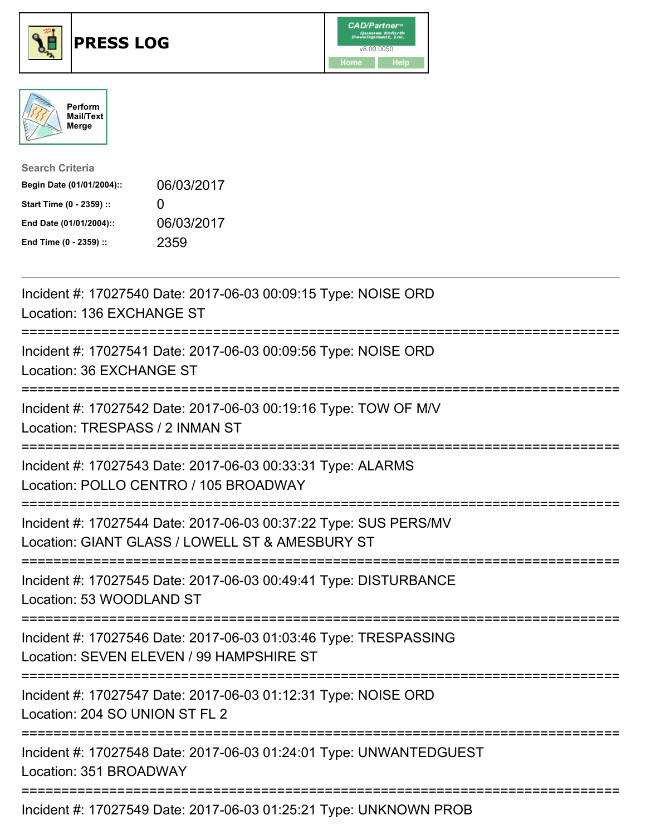





| <b>Search Criteria</b>    |                   |
|---------------------------|-------------------|
| Begin Date (01/01/2004):: | 06/03/2017        |
| Start Time (0 - 2359) ::  | $\mathbf{\Omega}$ |
| End Date (01/01/2004)::   | 06/03/2017        |
| End Time (0 - 2359) ::    | 2359              |

| Incident #: 17027540 Date: 2017-06-03 00:09:15 Type: NOISE ORD<br>Location: 136 EXCHANGE ST<br>==============                              |
|--------------------------------------------------------------------------------------------------------------------------------------------|
| :======================<br>Incident #: 17027541 Date: 2017-06-03 00:09:56 Type: NOISE ORD<br>Location: 36 EXCHANGE ST                      |
| Incident #: 17027542 Date: 2017-06-03 00:19:16 Type: TOW OF M/V<br>Location: TRESPASS / 2 INMAN ST                                         |
| Incident #: 17027543 Date: 2017-06-03 00:33:31 Type: ALARMS<br>Location: POLLO CENTRO / 105 BROADWAY                                       |
| Incident #: 17027544 Date: 2017-06-03 00:37:22 Type: SUS PERS/MV<br>Location: GIANT GLASS / LOWELL ST & AMESBURY ST<br>------------------- |
| Incident #: 17027545 Date: 2017-06-03 00:49:41 Type: DISTURBANCE<br>Location: 53 WOODLAND ST                                               |
| Incident #: 17027546 Date: 2017-06-03 01:03:46 Type: TRESPASSING<br>Location: SEVEN ELEVEN / 99 HAMPSHIRE ST                               |
| ----------------------------<br>Incident #: 17027547 Date: 2017-06-03 01:12:31 Type: NOISE ORD<br>Location: 204 SO UNION ST FL 2           |
| =========================<br>Incident #: 17027548 Date: 2017-06-03 01:24:01 Type: UNWANTEDGUEST<br>Location: 351 BROADWAY                  |
| Incident #: 17027549 Date: 2017-06-03 01:25:21 Type: UNKNOWN PROB                                                                          |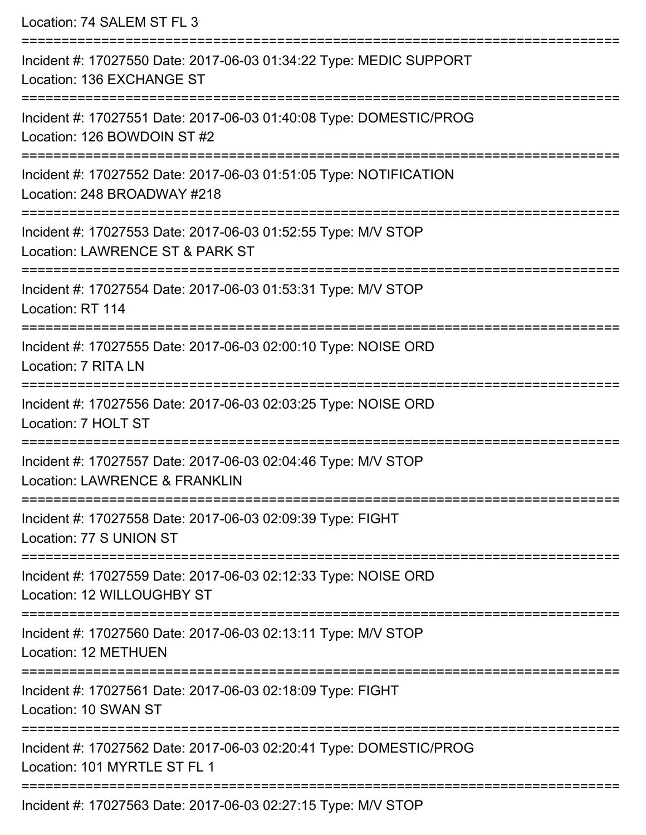| Location: 74 SALEM ST FL 3                                                                                                                                         |
|--------------------------------------------------------------------------------------------------------------------------------------------------------------------|
| Incident #: 17027550 Date: 2017-06-03 01:34:22 Type: MEDIC SUPPORT<br>Location: 136 EXCHANGE ST<br>:==========================                                     |
| Incident #: 17027551 Date: 2017-06-03 01:40:08 Type: DOMESTIC/PROG<br>Location: 126 BOWDOIN ST #2                                                                  |
| Incident #: 17027552 Date: 2017-06-03 01:51:05 Type: NOTIFICATION<br>Location: 248 BROADWAY #218<br>================================<br>-------------------------- |
| Incident #: 17027553 Date: 2017-06-03 01:52:55 Type: M/V STOP<br>Location: LAWRENCE ST & PARK ST                                                                   |
| Incident #: 17027554 Date: 2017-06-03 01:53:31 Type: M/V STOP<br>Location: RT 114                                                                                  |
| Incident #: 17027555 Date: 2017-06-03 02:00:10 Type: NOISE ORD<br>Location: 7 RITA LN                                                                              |
| Incident #: 17027556 Date: 2017-06-03 02:03:25 Type: NOISE ORD<br>Location: 7 HOLT ST                                                                              |
| Incident #: 17027557 Date: 2017-06-03 02:04:46 Type: M/V STOP<br><b>Location: LAWRENCE &amp; FRANKLIN</b>                                                          |
| Incident #: 17027558 Date: 2017-06-03 02:09:39 Type: FIGHT<br>Location: 77 S UNION ST                                                                              |
| Incident #: 17027559 Date: 2017-06-03 02:12:33 Type: NOISE ORD<br>Location: 12 WILLOUGHBY ST                                                                       |
| Incident #: 17027560 Date: 2017-06-03 02:13:11 Type: M/V STOP<br>Location: 12 METHUEN                                                                              |
| Incident #: 17027561 Date: 2017-06-03 02:18:09 Type: FIGHT<br>Location: 10 SWAN ST                                                                                 |
| Incident #: 17027562 Date: 2017-06-03 02:20:41 Type: DOMESTIC/PROG<br>Location: 101 MYRTLE ST FL 1                                                                 |
| $Incident #: 47027562 Det \sim 2047 06 02 02:27:45 Time: M11 CTOD$                                                                                                 |

Incident #: 17027563 Date: 2017-06-03 02:27:15 Type: M/V STOP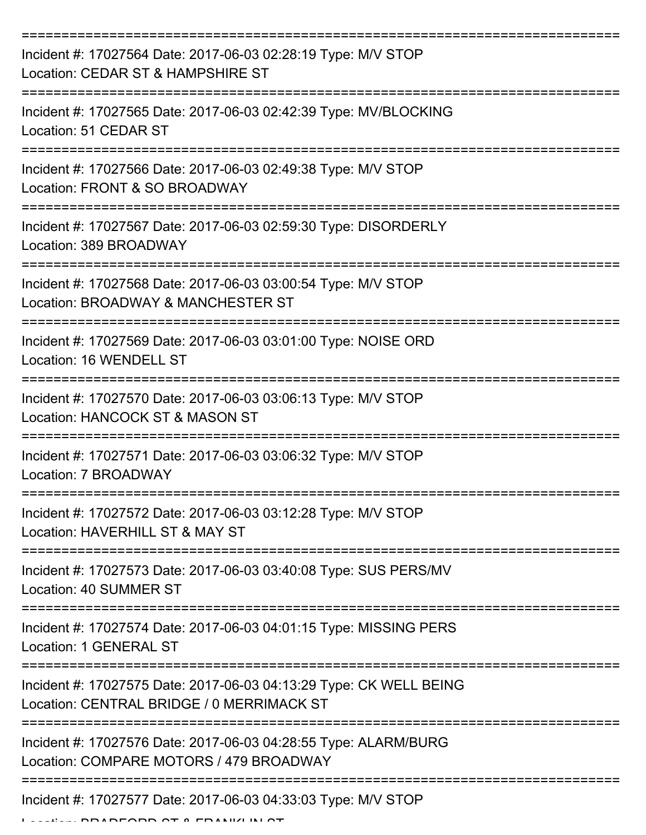| Incident #: 17027564 Date: 2017-06-03 02:28:19 Type: M/V STOP<br>Location: CEDAR ST & HAMPSHIRE ST              |
|-----------------------------------------------------------------------------------------------------------------|
| Incident #: 17027565 Date: 2017-06-03 02:42:39 Type: MV/BLOCKING<br>Location: 51 CEDAR ST                       |
| Incident #: 17027566 Date: 2017-06-03 02:49:38 Type: M/V STOP<br>Location: FRONT & SO BROADWAY                  |
| Incident #: 17027567 Date: 2017-06-03 02:59:30 Type: DISORDERLY<br>Location: 389 BROADWAY                       |
| Incident #: 17027568 Date: 2017-06-03 03:00:54 Type: M/V STOP<br>Location: BROADWAY & MANCHESTER ST             |
| Incident #: 17027569 Date: 2017-06-03 03:01:00 Type: NOISE ORD<br>Location: 16 WENDELL ST                       |
| Incident #: 17027570 Date: 2017-06-03 03:06:13 Type: M/V STOP<br>Location: HANCOCK ST & MASON ST                |
| Incident #: 17027571 Date: 2017-06-03 03:06:32 Type: M/V STOP<br>Location: 7 BROADWAY                           |
| Incident #: 17027572 Date: 2017-06-03 03:12:28 Type: M/V STOP<br>Location: HAVERHILL ST & MAY ST                |
| Incident #: 17027573 Date: 2017-06-03 03:40:08 Type: SUS PERS/MV<br>Location: 40 SUMMER ST                      |
| Incident #: 17027574 Date: 2017-06-03 04:01:15 Type: MISSING PERS<br>Location: 1 GENERAL ST                     |
| Incident #: 17027575 Date: 2017-06-03 04:13:29 Type: CK WELL BEING<br>Location: CENTRAL BRIDGE / 0 MERRIMACK ST |
| Incident #: 17027576 Date: 2017-06-03 04:28:55 Type: ALARM/BURG<br>Location: COMPARE MOTORS / 479 BROADWAY      |
| Incident #: 17027577 Date: 2017-06-03 04:33:03 Type: M/V STOP                                                   |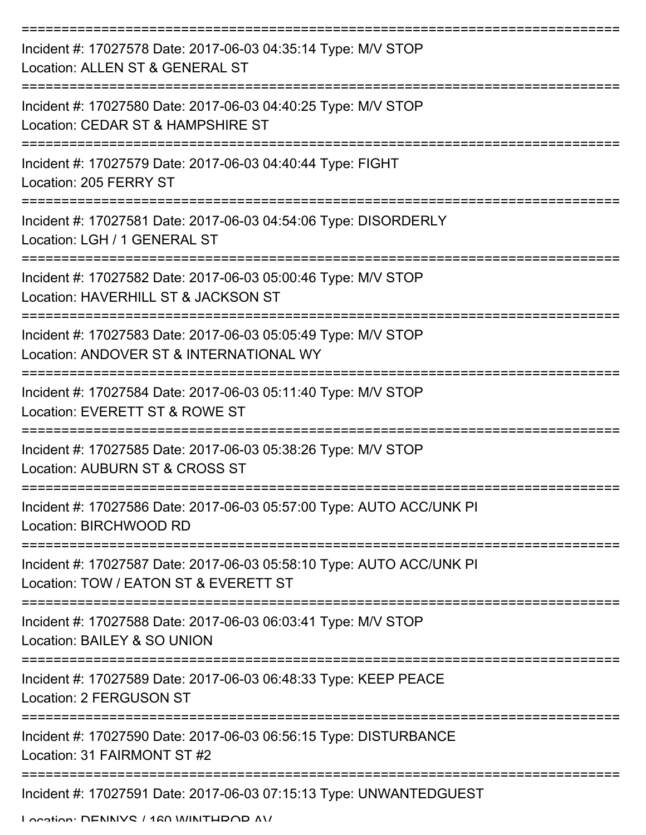| Incident #: 17027578 Date: 2017-06-03 04:35:14 Type: M/V STOP<br>Location: ALLEN ST & GENERAL ST              |
|---------------------------------------------------------------------------------------------------------------|
| Incident #: 17027580 Date: 2017-06-03 04:40:25 Type: M/V STOP<br>Location: CEDAR ST & HAMPSHIRE ST            |
| Incident #: 17027579 Date: 2017-06-03 04:40:44 Type: FIGHT<br>Location: 205 FERRY ST                          |
| Incident #: 17027581 Date: 2017-06-03 04:54:06 Type: DISORDERLY<br>Location: LGH / 1 GENERAL ST               |
| Incident #: 17027582 Date: 2017-06-03 05:00:46 Type: M/V STOP<br>Location: HAVERHILL ST & JACKSON ST          |
| Incident #: 17027583 Date: 2017-06-03 05:05:49 Type: M/V STOP<br>Location: ANDOVER ST & INTERNATIONAL WY      |
| Incident #: 17027584 Date: 2017-06-03 05:11:40 Type: M/V STOP<br>Location: EVERETT ST & ROWE ST               |
| Incident #: 17027585 Date: 2017-06-03 05:38:26 Type: M/V STOP<br>Location: AUBURN ST & CROSS ST               |
| Incident #: 17027586 Date: 2017-06-03 05:57:00 Type: AUTO ACC/UNK PI<br>Location: BIRCHWOOD RD                |
| Incident #: 17027587 Date: 2017-06-03 05:58:10 Type: AUTO ACC/UNK PI<br>Location: TOW / EATON ST & EVERETT ST |
| Incident #: 17027588 Date: 2017-06-03 06:03:41 Type: M/V STOP<br>Location: BAILEY & SO UNION                  |
| Incident #: 17027589 Date: 2017-06-03 06:48:33 Type: KEEP PEACE<br>Location: 2 FERGUSON ST                    |
| Incident #: 17027590 Date: 2017-06-03 06:56:15 Type: DISTURBANCE<br>Location: 31 FAIRMONT ST #2               |
| Incident #: 17027591 Date: 2017-06-03 07:15:13 Type: UNWANTEDGUEST                                            |

Location: DENINIVO / 160 WINTHDOD AV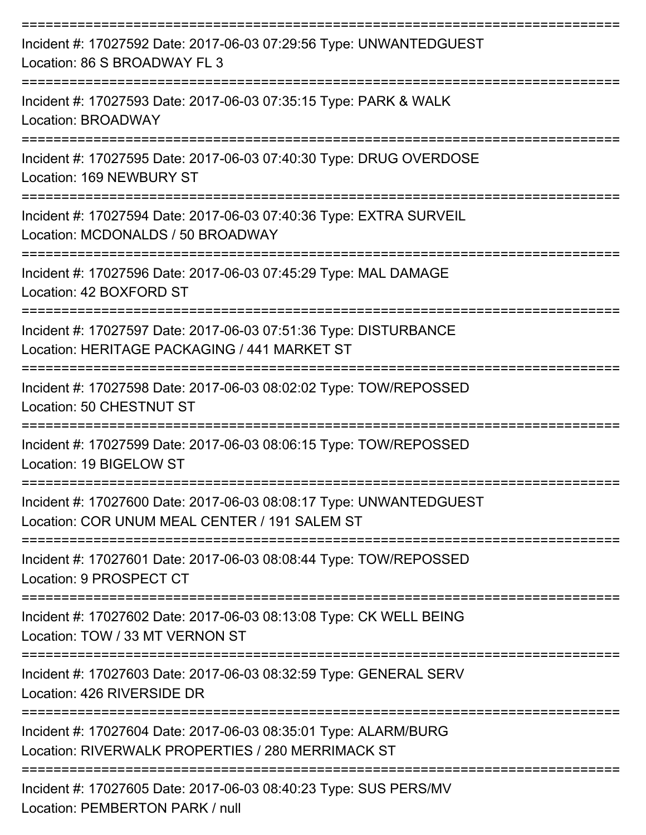| Incident #: 17027592 Date: 2017-06-03 07:29:56 Type: UNWANTEDGUEST<br>Location: 86 S BROADWAY FL 3                   |
|----------------------------------------------------------------------------------------------------------------------|
| Incident #: 17027593 Date: 2017-06-03 07:35:15 Type: PARK & WALK<br>Location: BROADWAY                               |
| Incident #: 17027595 Date: 2017-06-03 07:40:30 Type: DRUG OVERDOSE<br>Location: 169 NEWBURY ST                       |
| Incident #: 17027594 Date: 2017-06-03 07:40:36 Type: EXTRA SURVEIL<br>Location: MCDONALDS / 50 BROADWAY              |
| Incident #: 17027596 Date: 2017-06-03 07:45:29 Type: MAL DAMAGE<br>Location: 42 BOXFORD ST                           |
| Incident #: 17027597 Date: 2017-06-03 07:51:36 Type: DISTURBANCE<br>Location: HERITAGE PACKAGING / 441 MARKET ST     |
| Incident #: 17027598 Date: 2017-06-03 08:02:02 Type: TOW/REPOSSED<br>Location: 50 CHESTNUT ST                        |
| Incident #: 17027599 Date: 2017-06-03 08:06:15 Type: TOW/REPOSSED<br>Location: 19 BIGELOW ST                         |
| Incident #: 17027600 Date: 2017-06-03 08:08:17 Type: UNWANTEDGUEST<br>Location: COR UNUM MEAL CENTER / 191 SALEM ST  |
| Incident #: 17027601 Date: 2017-06-03 08:08:44 Type: TOW/REPOSSED<br>Location: 9 PROSPECT CT                         |
| Incident #: 17027602 Date: 2017-06-03 08:13:08 Type: CK WELL BEING<br>Location: TOW / 33 MT VERNON ST                |
| Incident #: 17027603 Date: 2017-06-03 08:32:59 Type: GENERAL SERV<br>Location: 426 RIVERSIDE DR                      |
| Incident #: 17027604 Date: 2017-06-03 08:35:01 Type: ALARM/BURG<br>Location: RIVERWALK PROPERTIES / 280 MERRIMACK ST |
| Incident #: 17027605 Date: 2017-06-03 08:40:23 Type: SUS PERS/MV<br>Location: PEMBERTON PARK / null                  |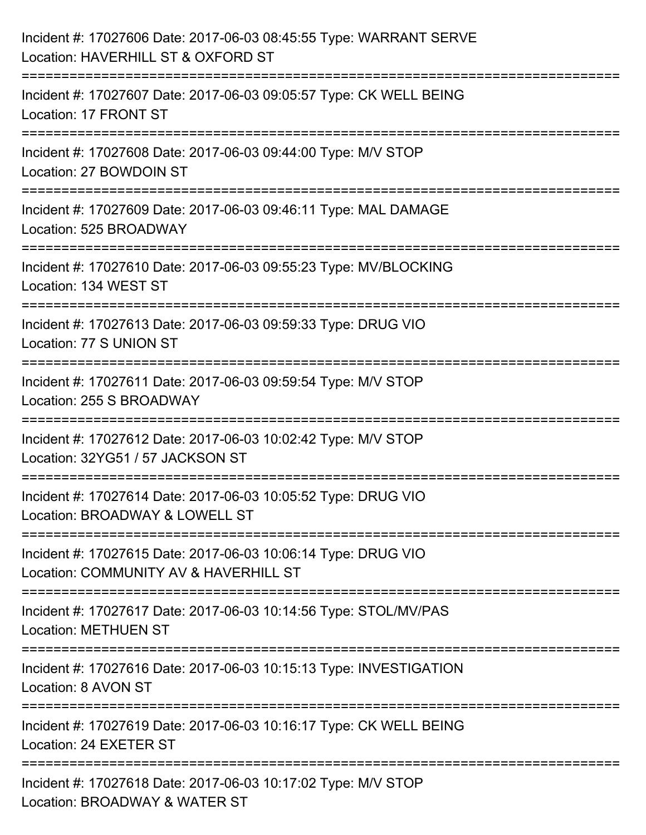| Incident #: 17027606 Date: 2017-06-03 08:45:55 Type: WARRANT SERVE<br>Location: HAVERHILL ST & OXFORD ST                                                         |
|------------------------------------------------------------------------------------------------------------------------------------------------------------------|
| :=====================<br>Incident #: 17027607 Date: 2017-06-03 09:05:57 Type: CK WELL BEING<br>Location: 17 FRONT ST                                            |
| Incident #: 17027608 Date: 2017-06-03 09:44:00 Type: M/V STOP<br>Location: 27 BOWDOIN ST<br>============================<br>==================================== |
| Incident #: 17027609 Date: 2017-06-03 09:46:11 Type: MAL DAMAGE<br>Location: 525 BROADWAY                                                                        |
| Incident #: 17027610 Date: 2017-06-03 09:55:23 Type: MV/BLOCKING<br>Location: 134 WEST ST<br>===========================                                         |
| Incident #: 17027613 Date: 2017-06-03 09:59:33 Type: DRUG VIO<br>Location: 77 S UNION ST                                                                         |
| Incident #: 17027611 Date: 2017-06-03 09:59:54 Type: M/V STOP<br>Location: 255 S BROADWAY                                                                        |
| Incident #: 17027612 Date: 2017-06-03 10:02:42 Type: M/V STOP<br>Location: 32YG51 / 57 JACKSON ST                                                                |
| Incident #: 17027614 Date: 2017-06-03 10:05:52 Type: DRUG VIO<br>Location: BROADWAY & LOWELL ST                                                                  |
| Incident #: 17027615 Date: 2017-06-03 10:06:14 Type: DRUG VIO<br>Location: COMMUNITY AV & HAVERHILL ST                                                           |
| Incident #: 17027617 Date: 2017-06-03 10:14:56 Type: STOL/MV/PAS<br><b>Location: METHUEN ST</b>                                                                  |
| Incident #: 17027616 Date: 2017-06-03 10:15:13 Type: INVESTIGATION<br>Location: 8 AVON ST                                                                        |
| Incident #: 17027619 Date: 2017-06-03 10:16:17 Type: CK WELL BEING<br>Location: 24 EXETER ST                                                                     |
| Incident #: 17027618 Date: 2017-06-03 10:17:02 Type: M/V STOP<br>Location: BROADWAY & WATER ST                                                                   |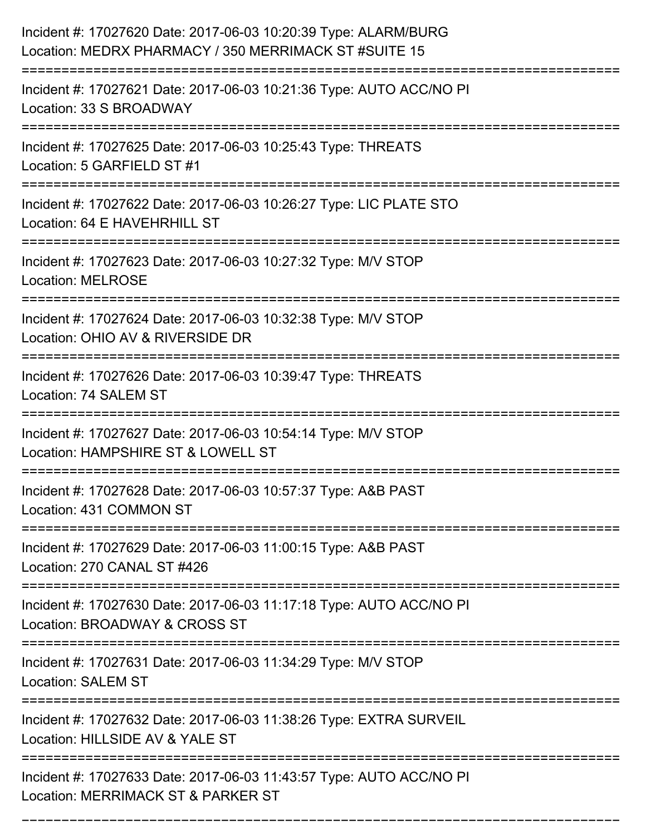| Incident #: 17027620 Date: 2017-06-03 10:20:39 Type: ALARM/BURG<br>Location: MEDRX PHARMACY / 350 MERRIMACK ST #SUITE 15 |
|--------------------------------------------------------------------------------------------------------------------------|
| Incident #: 17027621 Date: 2017-06-03 10:21:36 Type: AUTO ACC/NO PI<br>Location: 33 S BROADWAY                           |
| Incident #: 17027625 Date: 2017-06-03 10:25:43 Type: THREATS<br>Location: 5 GARFIELD ST #1                               |
| Incident #: 17027622 Date: 2017-06-03 10:26:27 Type: LIC PLATE STO<br>Location: 64 E HAVEHRHILL ST                       |
| Incident #: 17027623 Date: 2017-06-03 10:27:32 Type: M/V STOP<br><b>Location: MELROSE</b>                                |
| Incident #: 17027624 Date: 2017-06-03 10:32:38 Type: M/V STOP<br>Location: OHIO AV & RIVERSIDE DR                        |
| Incident #: 17027626 Date: 2017-06-03 10:39:47 Type: THREATS<br>Location: 74 SALEM ST                                    |
| Incident #: 17027627 Date: 2017-06-03 10:54:14 Type: M/V STOP<br>Location: HAMPSHIRE ST & LOWELL ST                      |
| Incident #: 17027628 Date: 2017-06-03 10:57:37 Type: A&B PAST<br>Location: 431 COMMON ST                                 |
| Incident #: 17027629 Date: 2017-06-03 11:00:15 Type: A&B PAST<br>Location: 270 CANAL ST #426                             |
| Incident #: 17027630 Date: 2017-06-03 11:17:18 Type: AUTO ACC/NO PI<br>Location: BROADWAY & CROSS ST                     |
| Incident #: 17027631 Date: 2017-06-03 11:34:29 Type: M/V STOP<br><b>Location: SALEM ST</b><br>----------------------     |
| Incident #: 17027632 Date: 2017-06-03 11:38:26 Type: EXTRA SURVEIL<br>Location: HILLSIDE AV & YALE ST                    |
| Incident #: 17027633 Date: 2017-06-03 11:43:57 Type: AUTO ACC/NO PI<br>Location: MERRIMACK ST & PARKER ST                |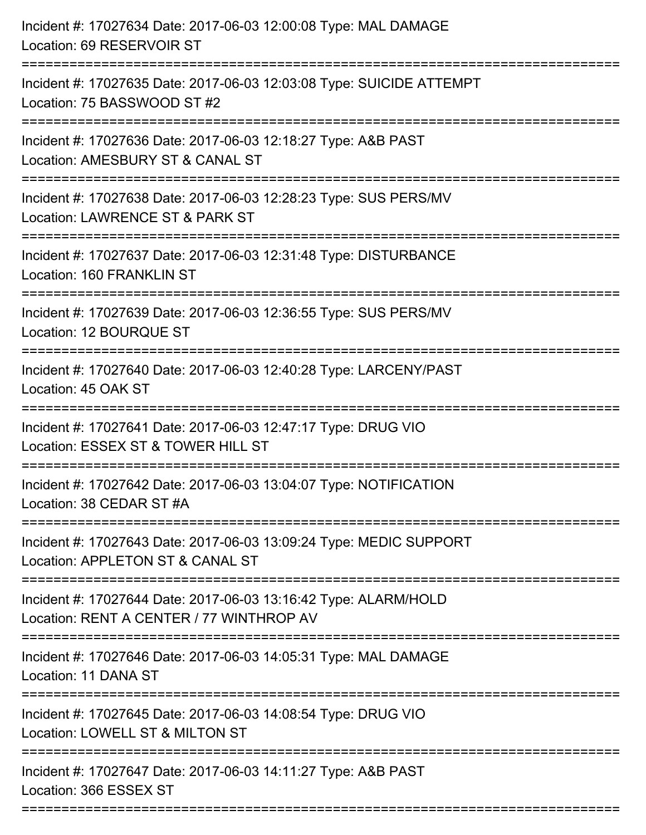| Incident #: 17027634 Date: 2017-06-03 12:00:08 Type: MAL DAMAGE<br>Location: 69 RESERVOIR ST                                                                    |
|-----------------------------------------------------------------------------------------------------------------------------------------------------------------|
| Incident #: 17027635 Date: 2017-06-03 12:03:08 Type: SUICIDE ATTEMPT<br>Location: 75 BASSWOOD ST #2                                                             |
| Incident #: 17027636 Date: 2017-06-03 12:18:27 Type: A&B PAST<br>Location: AMESBURY ST & CANAL ST<br>===========================                                |
| Incident #: 17027638 Date: 2017-06-03 12:28:23 Type: SUS PERS/MV<br>Location: LAWRENCE ST & PARK ST                                                             |
| Incident #: 17027637 Date: 2017-06-03 12:31:48 Type: DISTURBANCE<br>Location: 160 FRANKLIN ST<br>===============================<br>=========================== |
| Incident #: 17027639 Date: 2017-06-03 12:36:55 Type: SUS PERS/MV<br>Location: 12 BOURQUE ST                                                                     |
| Incident #: 17027640 Date: 2017-06-03 12:40:28 Type: LARCENY/PAST<br>Location: 45 OAK ST<br>====================================                                |
| Incident #: 17027641 Date: 2017-06-03 12:47:17 Type: DRUG VIO<br>Location: ESSEX ST & TOWER HILL ST                                                             |
| Incident #: 17027642 Date: 2017-06-03 13:04:07 Type: NOTIFICATION<br>Location: 38 CEDAR ST #A                                                                   |
| Incident #: 17027643 Date: 2017-06-03 13:09:24 Type: MEDIC SUPPORT<br>Location: APPLETON ST & CANAL ST                                                          |
| Incident #: 17027644 Date: 2017-06-03 13:16:42 Type: ALARM/HOLD<br>Location: RENT A CENTER / 77 WINTHROP AV<br>------------------------                         |
| Incident #: 17027646 Date: 2017-06-03 14:05:31 Type: MAL DAMAGE<br>Location: 11 DANA ST                                                                         |
| Incident #: 17027645 Date: 2017-06-03 14:08:54 Type: DRUG VIO<br>Location: LOWELL ST & MILTON ST                                                                |
| Incident #: 17027647 Date: 2017-06-03 14:11:27 Type: A&B PAST<br>Location: 366 ESSEX ST                                                                         |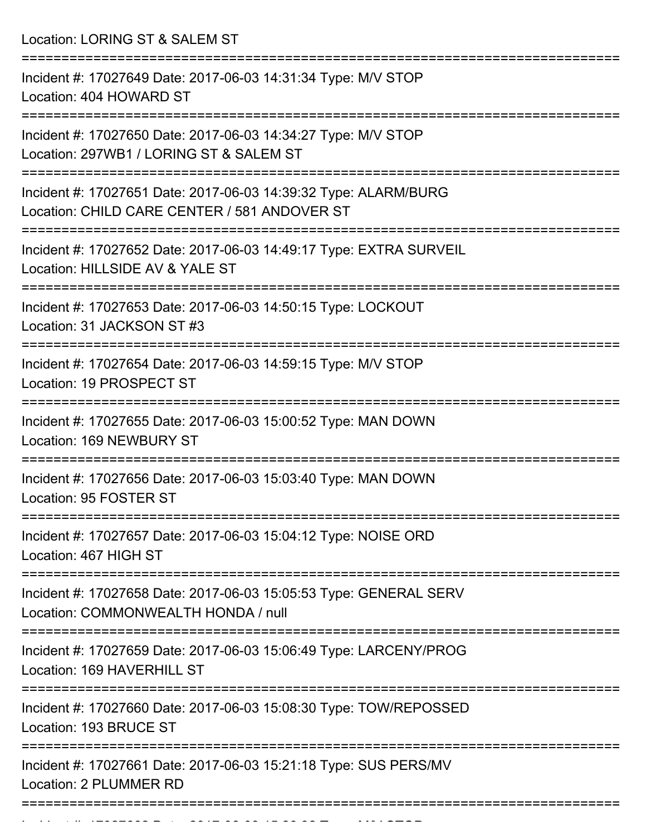Location: LORING ST & SALEM ST

| Incident #: 17027649 Date: 2017-06-03 14:31:34 Type: M/V STOP<br>Location: 404 HOWARD ST                        |
|-----------------------------------------------------------------------------------------------------------------|
| Incident #: 17027650 Date: 2017-06-03 14:34:27 Type: M/V STOP<br>Location: 297WB1 / LORING ST & SALEM ST        |
| Incident #: 17027651 Date: 2017-06-03 14:39:32 Type: ALARM/BURG<br>Location: CHILD CARE CENTER / 581 ANDOVER ST |
| Incident #: 17027652 Date: 2017-06-03 14:49:17 Type: EXTRA SURVEIL<br>Location: HILLSIDE AV & YALE ST           |
| Incident #: 17027653 Date: 2017-06-03 14:50:15 Type: LOCKOUT<br>Location: 31 JACKSON ST #3                      |
| Incident #: 17027654 Date: 2017-06-03 14:59:15 Type: M/V STOP<br>Location: 19 PROSPECT ST                       |
| Incident #: 17027655 Date: 2017-06-03 15:00:52 Type: MAN DOWN<br>Location: 169 NEWBURY ST                       |
| Incident #: 17027656 Date: 2017-06-03 15:03:40 Type: MAN DOWN<br>Location: 95 FOSTER ST                         |
| Incident #: 17027657 Date: 2017-06-03 15:04:12 Type: NOISE ORD<br>Location: 467 HIGH ST                         |
| Incident #: 17027658 Date: 2017-06-03 15:05:53 Type: GENERAL SERV<br>Location: COMMONWEALTH HONDA / null        |
| Incident #: 17027659 Date: 2017-06-03 15:06:49 Type: LARCENY/PROG<br>Location: 169 HAVERHILL ST                 |
| Incident #: 17027660 Date: 2017-06-03 15:08:30 Type: TOW/REPOSSED<br>Location: 193 BRUCE ST                     |
| Incident #: 17027661 Date: 2017-06-03 15:21:18 Type: SUS PERS/MV<br>Location: 2 PLUMMER RD                      |
|                                                                                                                 |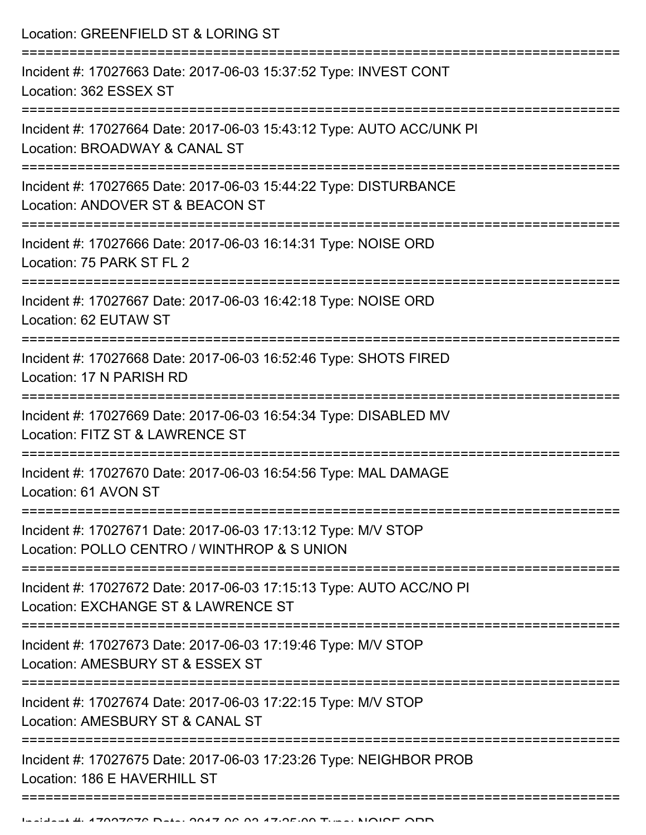Location: GREENFIELD ST & LORING ST

| Incident #: 17027663 Date: 2017-06-03 15:37:52 Type: INVEST CONT<br>Location: 362 ESSEX ST                   |
|--------------------------------------------------------------------------------------------------------------|
| Incident #: 17027664 Date: 2017-06-03 15:43:12 Type: AUTO ACC/UNK PI<br>Location: BROADWAY & CANAL ST        |
| Incident #: 17027665 Date: 2017-06-03 15:44:22 Type: DISTURBANCE<br>Location: ANDOVER ST & BEACON ST         |
| Incident #: 17027666 Date: 2017-06-03 16:14:31 Type: NOISE ORD<br>Location: 75 PARK ST FL 2                  |
| Incident #: 17027667 Date: 2017-06-03 16:42:18 Type: NOISE ORD<br>Location: 62 EUTAW ST                      |
| Incident #: 17027668 Date: 2017-06-03 16:52:46 Type: SHOTS FIRED<br>Location: 17 N PARISH RD                 |
| Incident #: 17027669 Date: 2017-06-03 16:54:34 Type: DISABLED MV<br>Location: FITZ ST & LAWRENCE ST          |
| Incident #: 17027670 Date: 2017-06-03 16:54:56 Type: MAL DAMAGE<br>Location: 61 AVON ST                      |
| Incident #: 17027671 Date: 2017-06-03 17:13:12 Type: M/V STOP<br>Location: POLLO CENTRO / WINTHROP & S UNION |
| Incident #: 17027672 Date: 2017-06-03 17:15:13 Type: AUTO ACC/NO PI<br>Location: EXCHANGE ST & LAWRENCE ST   |
| Incident #: 17027673 Date: 2017-06-03 17:19:46 Type: M/V STOP<br>Location: AMESBURY ST & ESSEX ST            |
| Incident #: 17027674 Date: 2017-06-03 17:22:15 Type: M/V STOP<br>Location: AMESBURY ST & CANAL ST            |
| Incident #: 17027675 Date: 2017-06-03 17:23:26 Type: NEIGHBOR PROB<br>Location: 186 E HAVERHILL ST           |
|                                                                                                              |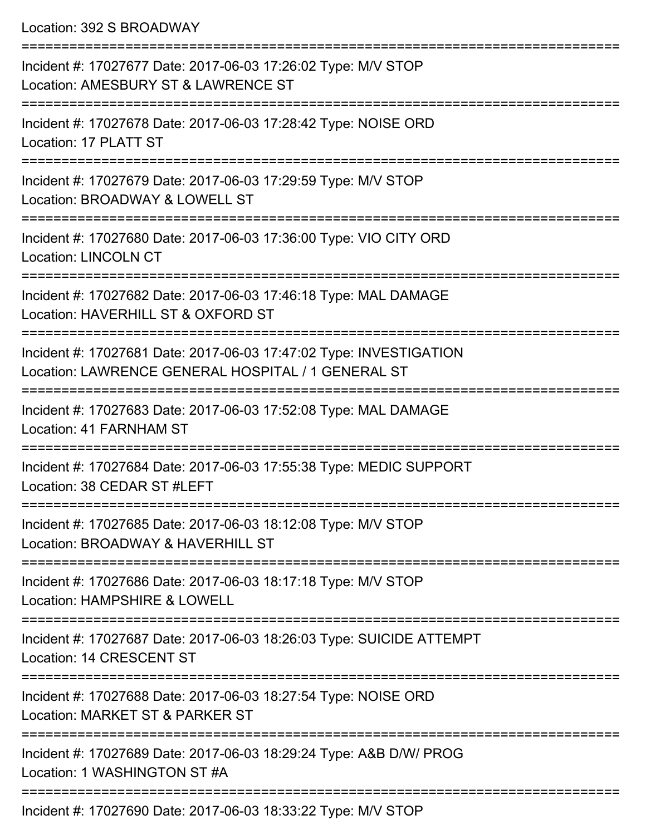Location: 392 S BROADWAY

| Incident #: 17027677 Date: 2017-06-03 17:26:02 Type: M/V STOP<br>Location: AMESBURY ST & LAWRENCE ST                     |
|--------------------------------------------------------------------------------------------------------------------------|
| Incident #: 17027678 Date: 2017-06-03 17:28:42 Type: NOISE ORD<br>Location: 17 PLATT ST                                  |
| Incident #: 17027679 Date: 2017-06-03 17:29:59 Type: M/V STOP<br>Location: BROADWAY & LOWELL ST                          |
| Incident #: 17027680 Date: 2017-06-03 17:36:00 Type: VIO CITY ORD<br><b>Location: LINCOLN CT</b>                         |
| Incident #: 17027682 Date: 2017-06-03 17:46:18 Type: MAL DAMAGE<br>Location: HAVERHILL ST & OXFORD ST                    |
| Incident #: 17027681 Date: 2017-06-03 17:47:02 Type: INVESTIGATION<br>Location: LAWRENCE GENERAL HOSPITAL / 1 GENERAL ST |
| Incident #: 17027683 Date: 2017-06-03 17:52:08 Type: MAL DAMAGE<br><b>Location: 41 FARNHAM ST</b>                        |
| Incident #: 17027684 Date: 2017-06-03 17:55:38 Type: MEDIC SUPPORT<br>Location: 38 CEDAR ST #LEFT                        |
| Incident #: 17027685 Date: 2017-06-03 18:12:08 Type: M/V STOP<br>Location: BROADWAY & HAVERHILL ST                       |
| Incident #: 17027686 Date: 2017-06-03 18:17:18 Type: M/V STOP<br>Location: HAMPSHIRE & LOWELL                            |
| Incident #: 17027687 Date: 2017-06-03 18:26:03 Type: SUICIDE ATTEMPT<br>Location: 14 CRESCENT ST                         |
| Incident #: 17027688 Date: 2017-06-03 18:27:54 Type: NOISE ORD<br>Location: MARKET ST & PARKER ST                        |
| Incident #: 17027689 Date: 2017-06-03 18:29:24 Type: A&B D/W/ PROG<br>Location: 1 WASHINGTON ST #A                       |
| $17007000$ Deta: $2017.00.02.10.22.02.7$ Ture: $NINI$ CTOD                                                               |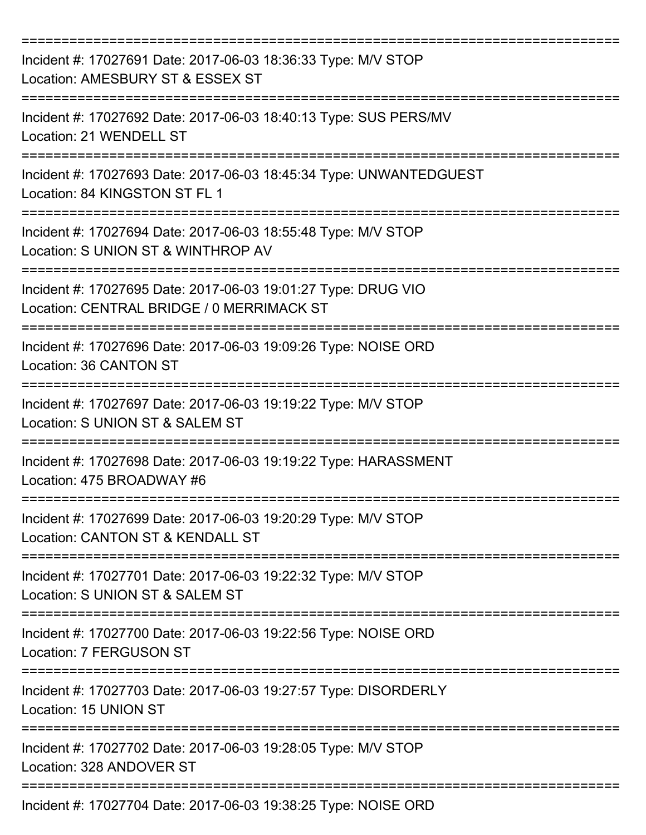| Incident #: 17027691 Date: 2017-06-03 18:36:33 Type: M/V STOP<br>Location: AMESBURY ST & ESSEX ST          |
|------------------------------------------------------------------------------------------------------------|
| Incident #: 17027692 Date: 2017-06-03 18:40:13 Type: SUS PERS/MV<br>Location: 21 WENDELL ST                |
| Incident #: 17027693 Date: 2017-06-03 18:45:34 Type: UNWANTEDGUEST<br>Location: 84 KINGSTON ST FL 1        |
| Incident #: 17027694 Date: 2017-06-03 18:55:48 Type: M/V STOP<br>Location: S UNION ST & WINTHROP AV        |
| Incident #: 17027695 Date: 2017-06-03 19:01:27 Type: DRUG VIO<br>Location: CENTRAL BRIDGE / 0 MERRIMACK ST |
| Incident #: 17027696 Date: 2017-06-03 19:09:26 Type: NOISE ORD<br>Location: 36 CANTON ST                   |
| Incident #: 17027697 Date: 2017-06-03 19:19:22 Type: M/V STOP<br>Location: S UNION ST & SALEM ST           |
| Incident #: 17027698 Date: 2017-06-03 19:19:22 Type: HARASSMENT<br>Location: 475 BROADWAY #6               |
| Incident #: 17027699 Date: 2017-06-03 19:20:29 Type: M/V STOP<br>Location: CANTON ST & KENDALL ST          |
| Incident #: 17027701 Date: 2017-06-03 19:22:32 Type: M/V STOP<br>Location: S UNION ST & SALEM ST           |
| Incident #: 17027700 Date: 2017-06-03 19:22:56 Type: NOISE ORD<br>Location: 7 FERGUSON ST                  |
| Incident #: 17027703 Date: 2017-06-03 19:27:57 Type: DISORDERLY<br>Location: 15 UNION ST                   |
| Incident #: 17027702 Date: 2017-06-03 19:28:05 Type: M/V STOP<br>Location: 328 ANDOVER ST                  |
| Incident #: 17027704 Date: 2017-06-03 19:38:25 Type: NOISE ORD                                             |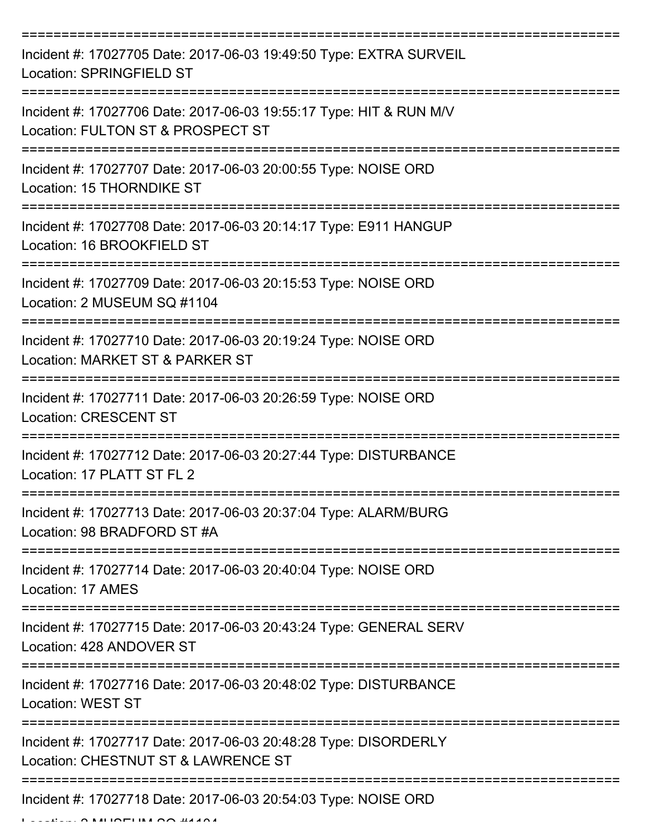| Incident #: 17027705 Date: 2017-06-03 19:49:50 Type: EXTRA SURVEIL<br><b>Location: SPRINGFIELD ST</b>         |
|---------------------------------------------------------------------------------------------------------------|
| Incident #: 17027706 Date: 2017-06-03 19:55:17 Type: HIT & RUN M/V<br>Location: FULTON ST & PROSPECT ST       |
| Incident #: 17027707 Date: 2017-06-03 20:00:55 Type: NOISE ORD<br>Location: 15 THORNDIKE ST                   |
| Incident #: 17027708 Date: 2017-06-03 20:14:17 Type: E911 HANGUP<br>Location: 16 BROOKFIELD ST                |
| Incident #: 17027709 Date: 2017-06-03 20:15:53 Type: NOISE ORD<br>Location: 2 MUSEUM SQ #1104                 |
| Incident #: 17027710 Date: 2017-06-03 20:19:24 Type: NOISE ORD<br>Location: MARKET ST & PARKER ST             |
| Incident #: 17027711 Date: 2017-06-03 20:26:59 Type: NOISE ORD<br><b>Location: CRESCENT ST</b><br>=========== |
| Incident #: 17027712 Date: 2017-06-03 20:27:44 Type: DISTURBANCE<br>Location: 17 PLATT ST FL 2                |
| Incident #: 17027713 Date: 2017-06-03 20:37:04 Type: ALARM/BURG<br>Location: 98 BRADFORD ST #A                |
| Incident #: 17027714 Date: 2017-06-03 20:40:04 Type: NOISE ORD<br>Location: 17 AMES                           |
| Incident #: 17027715 Date: 2017-06-03 20:43:24 Type: GENERAL SERV<br>Location: 428 ANDOVER ST                 |
| Incident #: 17027716 Date: 2017-06-03 20:48:02 Type: DISTURBANCE<br><b>Location: WEST ST</b>                  |
| Incident #: 17027717 Date: 2017-06-03 20:48:28 Type: DISORDERLY<br>Location: CHESTNUT ST & LAWRENCE ST        |
| Incident #: 17027718 Date: 2017-06-03 20:54:03 Type: NOISE ORD                                                |

 $L_{\text{max}}$   $\alpha$  MUSEUM  $\alpha$   $\alpha$  #11404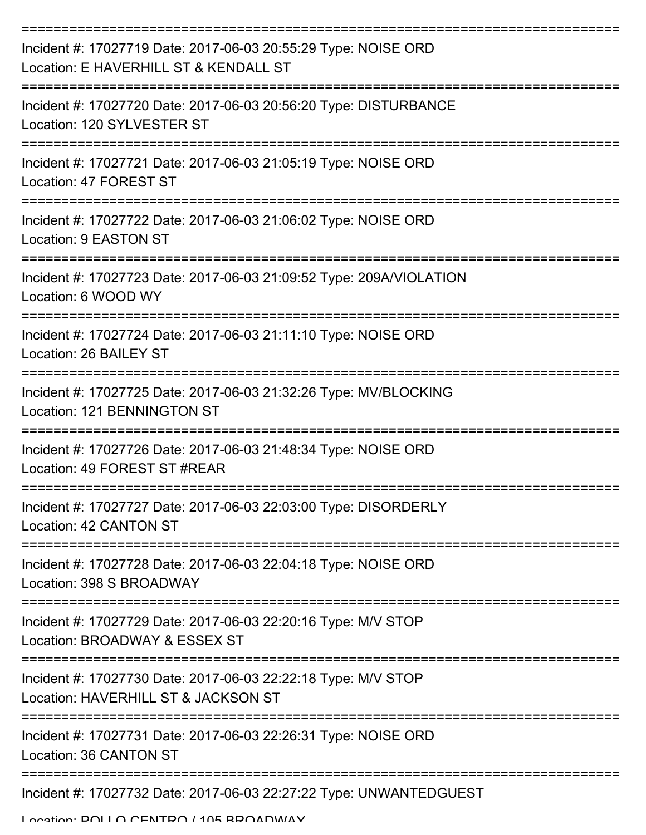| Incident #: 17027719 Date: 2017-06-03 20:55:29 Type: NOISE ORD<br>Location: E HAVERHILL ST & KENDALL ST |
|---------------------------------------------------------------------------------------------------------|
| Incident #: 17027720 Date: 2017-06-03 20:56:20 Type: DISTURBANCE<br>Location: 120 SYLVESTER ST          |
| Incident #: 17027721 Date: 2017-06-03 21:05:19 Type: NOISE ORD<br>Location: 47 FOREST ST                |
| Incident #: 17027722 Date: 2017-06-03 21:06:02 Type: NOISE ORD<br>Location: 9 EASTON ST                 |
| Incident #: 17027723 Date: 2017-06-03 21:09:52 Type: 209A/VIOLATION<br>Location: 6 WOOD WY              |
| Incident #: 17027724 Date: 2017-06-03 21:11:10 Type: NOISE ORD<br>Location: 26 BAILEY ST                |
| Incident #: 17027725 Date: 2017-06-03 21:32:26 Type: MV/BLOCKING<br>Location: 121 BENNINGTON ST         |
| Incident #: 17027726 Date: 2017-06-03 21:48:34 Type: NOISE ORD<br>Location: 49 FOREST ST #REAR          |
| Incident #: 17027727 Date: 2017-06-03 22:03:00 Type: DISORDERLY<br>Location: 42 CANTON ST               |
| Incident #: 17027728 Date: 2017-06-03 22:04:18 Type: NOISE ORD<br>Location: 398 S BROADWAY              |
| Incident #: 17027729 Date: 2017-06-03 22:20:16 Type: M/V STOP<br>Location: BROADWAY & ESSEX ST          |
| Incident #: 17027730 Date: 2017-06-03 22:22:18 Type: M/V STOP<br>Location: HAVERHILL ST & JACKSON ST    |
| Incident #: 17027731 Date: 2017-06-03 22:26:31 Type: NOISE ORD<br>Location: 36 CANTON ST                |
| Incident #: 17027732 Date: 2017-06-03 22:27:22 Type: UNWANTEDGUEST                                      |

Location: DOLLO CENTRO / 105 BROADWAY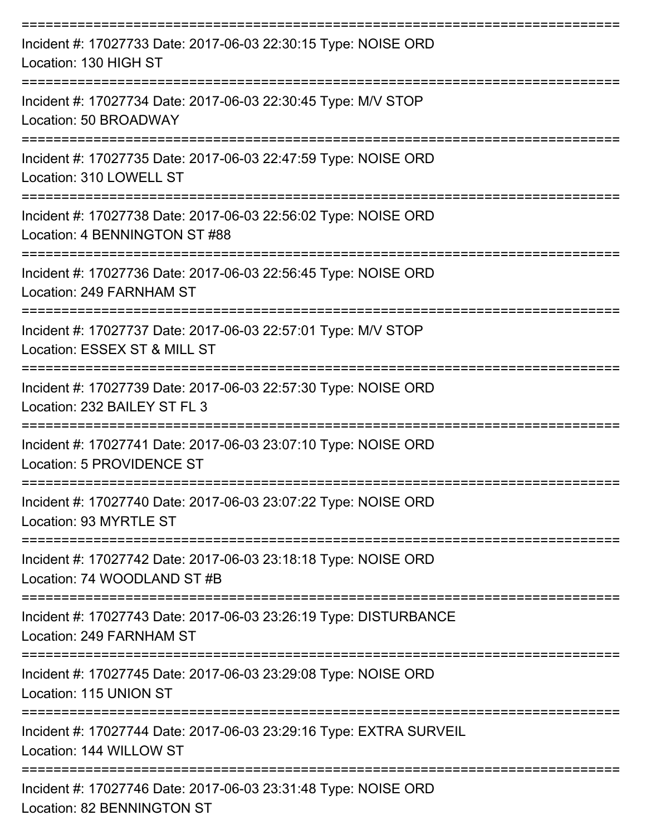| Incident #: 17027733 Date: 2017-06-03 22:30:15 Type: NOISE ORD<br>Location: 130 HIGH ST             |
|-----------------------------------------------------------------------------------------------------|
| Incident #: 17027734 Date: 2017-06-03 22:30:45 Type: M/V STOP<br>Location: 50 BROADWAY              |
| Incident #: 17027735 Date: 2017-06-03 22:47:59 Type: NOISE ORD<br>Location: 310 LOWELL ST           |
| Incident #: 17027738 Date: 2017-06-03 22:56:02 Type: NOISE ORD<br>Location: 4 BENNINGTON ST #88     |
| Incident #: 17027736 Date: 2017-06-03 22:56:45 Type: NOISE ORD<br>Location: 249 FARNHAM ST          |
| Incident #: 17027737 Date: 2017-06-03 22:57:01 Type: M/V STOP<br>Location: ESSEX ST & MILL ST       |
| Incident #: 17027739 Date: 2017-06-03 22:57:30 Type: NOISE ORD<br>Location: 232 BAILEY ST FL 3      |
| Incident #: 17027741 Date: 2017-06-03 23:07:10 Type: NOISE ORD<br>Location: 5 PROVIDENCE ST         |
| Incident #: 17027740 Date: 2017-06-03 23:07:22 Type: NOISE ORD<br>Location: 93 MYRTLE ST            |
| Incident #: 17027742 Date: 2017-06-03 23:18:18 Type: NOISE ORD<br>Location: 74 WOODLAND ST #B       |
| Incident #: 17027743 Date: 2017-06-03 23:26:19 Type: DISTURBANCE<br>Location: 249 FARNHAM ST        |
| Incident #: 17027745 Date: 2017-06-03 23:29:08 Type: NOISE ORD<br>Location: 115 UNION ST            |
| Incident #: 17027744 Date: 2017-06-03 23:29:16 Type: EXTRA SURVEIL<br>Location: 144 WILLOW ST       |
| Incident #: 17027746 Date: 2017-06-03 23:31:48 Type: NOISE ORD<br><b>Location: 82 BENNINGTON ST</b> |